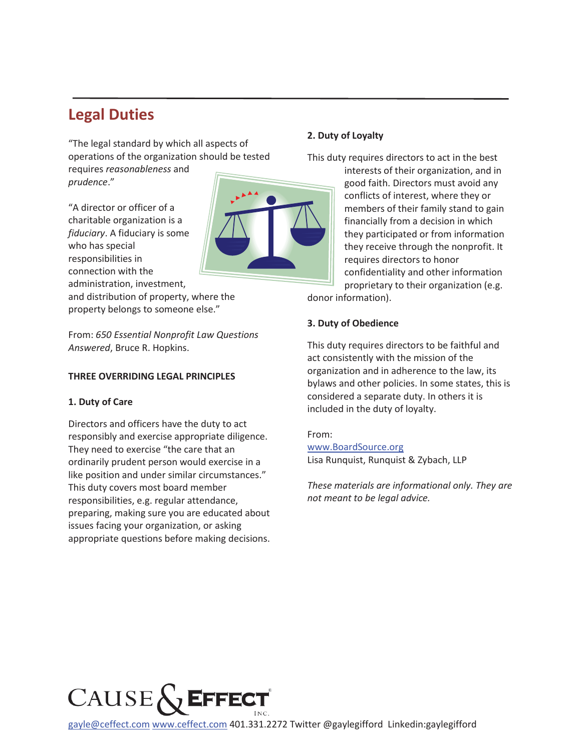## **Legal Duties**

"The legal standard by which all aspects of operations of the organization should be tested

requires *reasonableness* and *prudence*."

"A director or officer of a charitable organization is a *fiduciary*. A fiduciary is some who has special responsibilities in connection with the administration, investment,

and distribution of property, where the property belongs to someone else."

From: *650 Essential Nonprofit Law Questions Answered*, Bruce R. Hopkins.

## **THREE OVERRIDING LEGAL PRINCIPLES**

## **1. Duty of Care**

Directors and officers have the duty to act responsibly and exercise appropriate diligence. They need to exercise "the care that an ordinarily prudent person would exercise in a like position and under similar circumstances." This duty covers most board member responsibilities, e.g. regular attendance, preparing, making sure you are educated about issues facing your organization, or asking appropriate questions before making decisions.

## **2. Duty of Loyalty**

This duty requires directors to act in the best

interests of their organization, and in good faith. Directors must avoid any conflicts of interest, where they or members of their family stand to gain financially from a decision in which they participated or from information they receive through the nonprofit. It requires directors to honor confidentiality and other information proprietary to their organization (e.g.

donor information).

## **3. Duty of Obedience**

This duty requires directors to be faithful and act consistently with the mission of the organization and in adherence to the law, its bylaws and other policies. In some states, this is considered a separate duty. In others it is included in the duty of loyalty.

#### From:

www.BoardSource.org Lisa Runquist, Runquist & Zybach, LLP

*These materials are informational only. They are not meant to be legal advice.* 



gayle@ceffect.com www.ceffect.com 401.331.2272 Twitter @gaylegifford Linkedin:gaylegifford

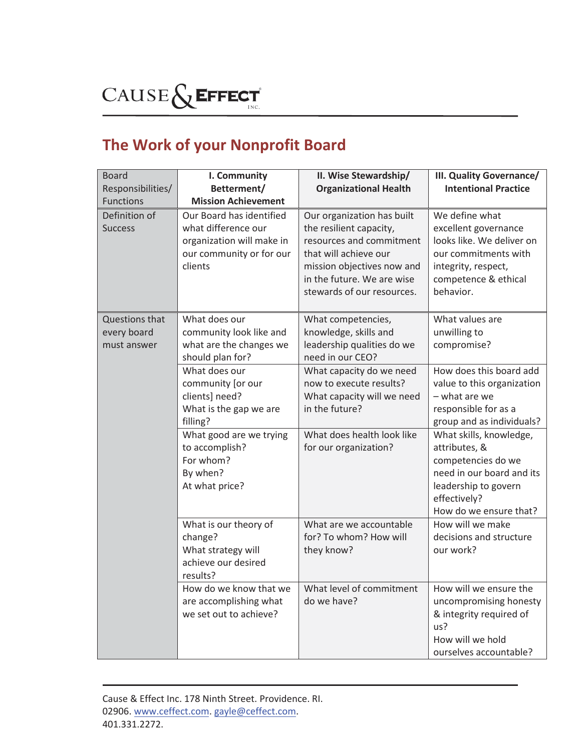# CAUSE & EFFECT

## **The Work of your Nonprofit Board**

| <b>Board</b>                                 | I. Community                                                                                                                                                                       | II. Wise Stewardship/                                                                                                                                                                                | III. Quality Governance/                                                                                                                                                                                                                                                                     |
|----------------------------------------------|------------------------------------------------------------------------------------------------------------------------------------------------------------------------------------|------------------------------------------------------------------------------------------------------------------------------------------------------------------------------------------------------|----------------------------------------------------------------------------------------------------------------------------------------------------------------------------------------------------------------------------------------------------------------------------------------------|
| Responsibilities/                            | Betterment/                                                                                                                                                                        | <b>Organizational Health</b>                                                                                                                                                                         | <b>Intentional Practice</b>                                                                                                                                                                                                                                                                  |
| <b>Functions</b>                             | <b>Mission Achievement</b>                                                                                                                                                         |                                                                                                                                                                                                      |                                                                                                                                                                                                                                                                                              |
| Definition of<br><b>Success</b>              | Our Board has identified<br>what difference our<br>organization will make in<br>our community or for our<br>clients                                                                | Our organization has built<br>the resilient capacity,<br>resources and commitment<br>that will achieve our<br>mission objectives now and<br>in the future. We are wise<br>stewards of our resources. | We define what<br>excellent governance<br>looks like. We deliver on<br>our commitments with<br>integrity, respect,<br>competence & ethical<br>behavior.                                                                                                                                      |
| Questions that<br>every board<br>must answer | What does our<br>community look like and<br>what are the changes we<br>should plan for?                                                                                            | What competencies,<br>knowledge, skills and<br>leadership qualities do we<br>need in our CEO?                                                                                                        | What values are<br>unwilling to<br>compromise?                                                                                                                                                                                                                                               |
|                                              | What does our<br>community [or our<br>clients] need?<br>What is the gap we are<br>filling?<br>What good are we trying<br>to accomplish?<br>For whom?<br>By when?<br>At what price? | What capacity do we need<br>now to execute results?<br>What capacity will we need<br>in the future?<br>What does health look like<br>for our organization?                                           | How does this board add<br>value to this organization<br>- what are we<br>responsible for as a<br>group and as individuals?<br>What skills, knowledge,<br>attributes, &<br>competencies do we<br>need in our board and its<br>leadership to govern<br>effectively?<br>How do we ensure that? |
|                                              | What is our theory of<br>change?<br>What strategy will<br>achieve our desired<br>results?                                                                                          | What are we accountable<br>for? To whom? How will<br>they know?                                                                                                                                      | How will we make<br>decisions and structure<br>our work?                                                                                                                                                                                                                                     |
|                                              | How do we know that we<br>are accomplishing what<br>we set out to achieve?                                                                                                         | What level of commitment<br>do we have?                                                                                                                                                              | How will we ensure the<br>uncompromising honesty<br>& integrity required of<br>us?<br>How will we hold<br>ourselves accountable?                                                                                                                                                             |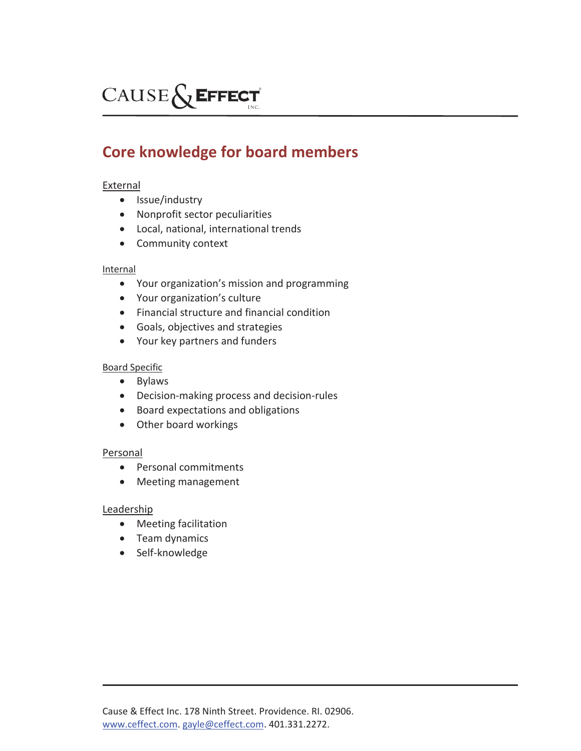## CAUSE & EFFECT

## **Core knowledge for board members**

## **External**

- Issue/industry
- Nonprofit sector peculiarities
- Local, national, international trends
- Community context

#### Internal

- Your organization's mission and programming
- Your organization's culture
- Financial structure and financial condition
- Goals, objectives and strategies
- Your key partners and funders

#### Board Specific

- $\bullet$  Bylaws
- Decision-making process and decision-rules
- **•** Board expectations and obligations
- Other board workings

## Personal

- Personal commitments
- Meeting management

## Leadership

- Meeting facilitation
- Team dynamics
- Self-knowledge